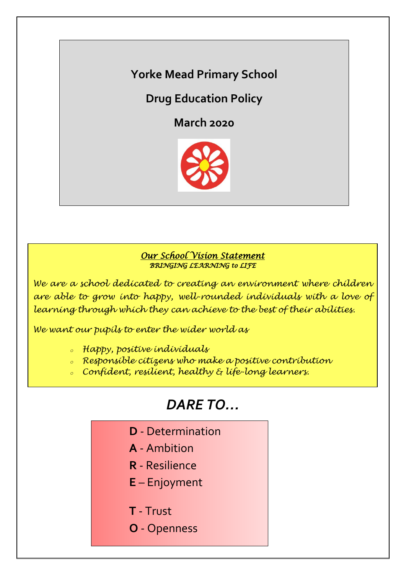**Yorke Mead Primary School**

**Drug Education Policy**

**March 2020**



## *Our School Vision Statement BRINGING LEARNING to LIFE*

*We are a school dedicated to creating an environment where children are able to grow into happy, well-rounded individuals with a love of learning through which they can achieve to the best of their abilities.*

*We want our pupils to enter the wider world as*

*<sup>o</sup> Happy, positive individuals*

- *<sup>o</sup> Responsible citizens who make a positive contribution*
- *<sup>o</sup> Confident, resilient, healthy & life-long learners.*

# *DARE TO…*

- **D** Determination
- **A** Ambition
- **R** Resilience
- **E** Enjoyment
- **T** Trust
- **O** Openness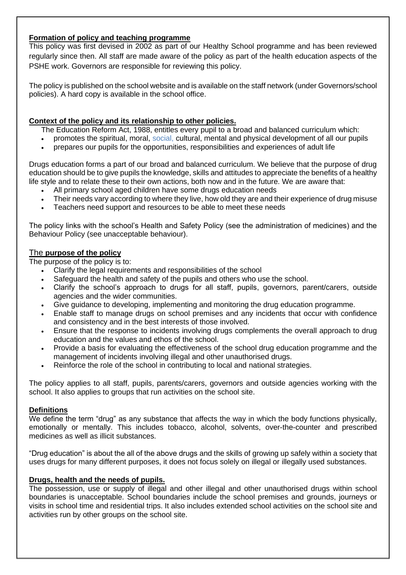## **Formation of policy and teaching programme**

This policy was first devised in 2002 as part of our Healthy School programme and has been reviewed regularly since then. All staff are made aware of the policy as part of the health education aspects of the PSHE work. Governors are responsible for reviewing this policy.

The policy is published on the school website and is available on the staff network (under Governors/school policies). A hard copy is available in the school office.

## **Context of the policy and its relationship to other policies.**

The Education Reform Act, 1988, entitles every pupil to a broad and balanced curriculum which:

- promotes the spiritual, moral, social, cultural, mental and physical development of all our pupils
- prepares our pupils for the opportunities, responsibilities and experiences of adult life

Drugs education forms a part of our broad and balanced curriculum. We believe that the purpose of drug education should be to give pupils the knowledge, skills and attitudes to appreciate the benefits of a healthy life style and to relate these to their own actions, both now and in the future. We are aware that:

- All primary school aged children have some drugs education needs
- Their needs vary according to where they live, how old they are and their experience of drug misuse
- Teachers need support and resources to be able to meet these needs

The policy links with the school's Health and Safety Policy (see the administration of medicines) and the Behaviour Policy (see unacceptable behaviour).

## The **purpose of the policy**

The purpose of the policy is to:

- Clarify the legal requirements and responsibilities of the school
- Safeguard the health and safety of the pupils and others who use the school.
- Clarify the school's approach to drugs for all staff, pupils, governors, parent/carers, outside agencies and the wider communities.
- Give guidance to developing, implementing and monitoring the drug education programme.
- Enable staff to manage drugs on school premises and any incidents that occur with confidence and consistency and in the best interests of those involved.
- Ensure that the response to incidents involving drugs complements the overall approach to drug education and the values and ethos of the school.
- Provide a basis for evaluating the effectiveness of the school drug education programme and the management of incidents involving illegal and other unauthorised drugs.
- Reinforce the role of the school in contributing to local and national strategies.

The policy applies to all staff, pupils, parents/carers, governors and outside agencies working with the school. It also applies to groups that run activities on the school site.

#### **Definitions**

We define the term "drug" as any substance that affects the way in which the body functions physically, emotionally or mentally. This includes tobacco, alcohol, solvents, over-the-counter and prescribed medicines as well as illicit substances.

"Drug education" is about the all of the above drugs and the skills of growing up safely within a society that uses drugs for many different purposes, it does not focus solely on illegal or illegally used substances.

#### **Drugs, health and the needs of pupils.**

The possession, use or supply of illegal and other illegal and other unauthorised drugs within school boundaries is unacceptable. School boundaries include the school premises and grounds, journeys or visits in school time and residential trips. It also includes extended school activities on the school site and activities run by other groups on the school site.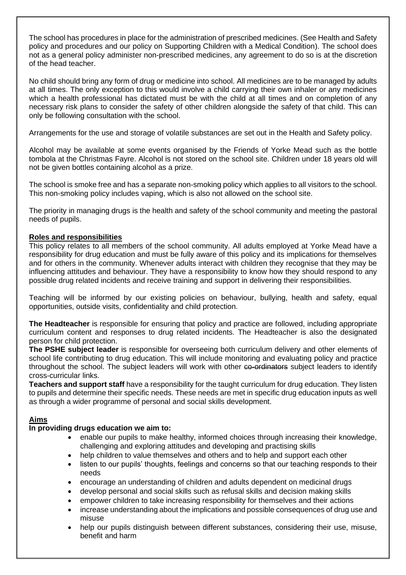The school has procedures in place for the administration of prescribed medicines. (See Health and Safety policy and procedures and our policy on Supporting Children with a Medical Condition). The school does not as a general policy administer non-prescribed medicines, any agreement to do so is at the discretion of the head teacher.

No child should bring any form of drug or medicine into school. All medicines are to be managed by adults at all times. The only exception to this would involve a child carrying their own inhaler or any medicines which a health professional has dictated must be with the child at all times and on completion of any necessary risk plans to consider the safety of other children alongside the safety of that child. This can only be following consultation with the school.

Arrangements for the use and storage of volatile substances are set out in the Health and Safety policy.

Alcohol may be available at some events organised by the Friends of Yorke Mead such as the bottle tombola at the Christmas Fayre. Alcohol is not stored on the school site. Children under 18 years old will not be given bottles containing alcohol as a prize.

The school is smoke free and has a separate non-smoking policy which applies to all visitors to the school. This non-smoking policy includes vaping, which is also not allowed on the school site.

The priority in managing drugs is the health and safety of the school community and meeting the pastoral needs of pupils.

## **Roles and responsibilities**

This policy relates to all members of the school community. All adults employed at Yorke Mead have a responsibility for drug education and must be fully aware of this policy and its implications for themselves and for others in the community. Whenever adults interact with children they recognise that they may be influencing attitudes and behaviour. They have a responsibility to know how they should respond to any possible drug related incidents and receive training and support in delivering their responsibilities.

Teaching will be informed by our existing policies on behaviour, bullying, health and safety, equal opportunities, outside visits, confidentiality and child protection.

**The Headteacher** is responsible for ensuring that policy and practice are followed, including appropriate curriculum content and responses to drug related incidents. The Headteacher is also the designated person for child protection.

**The PSHE subject leader** is responsible for overseeing both curriculum delivery and other elements of school life contributing to drug education. This will include monitoring and evaluating policy and practice throughout the school. The subject leaders will work with other co-ordinators subject leaders to identify cross-curricular links.

**Teachers and support staff** have a responsibility for the taught curriculum for drug education. They listen to pupils and determine their specific needs. These needs are met in specific drug education inputs as well as through a wider programme of personal and social skills development.

## **Aims**

## **In providing drugs education we aim to:**

- enable our pupils to make healthy, informed choices through increasing their knowledge, challenging and exploring attitudes and developing and practising skills
- help children to value themselves and others and to help and support each other
- listen to our pupils' thoughts, feelings and concerns so that our teaching responds to their needs
- encourage an understanding of children and adults dependent on medicinal drugs
- develop personal and social skills such as refusal skills and decision making skills
- empower children to take increasing responsibility for themselves and their actions
- increase understanding about the implications and possible consequences of drug use and misuse
- help our pupils distinguish between different substances, considering their use, misuse, benefit and harm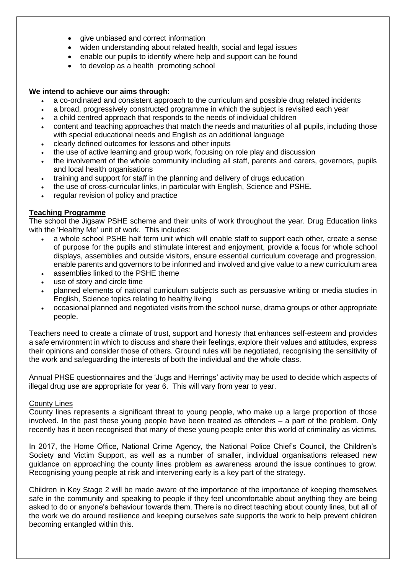- give unbiased and correct information
- widen understanding about related health, social and legal issues
- enable our pupils to identify where help and support can be found
- to develop as a health promoting school

## **We intend to achieve our aims through:**

- a co-ordinated and consistent approach to the curriculum and possible drug related incidents
- a broad, progressively constructed programme in which the subject is revisited each year
- a child centred approach that responds to the needs of individual children
- content and teaching approaches that match the needs and maturities of all pupils, including those with special educational needs and English as an additional language
- clearly defined outcomes for lessons and other inputs
- the use of active learning and group work, focusing on role play and discussion
- the involvement of the whole community including all staff, parents and carers, governors, pupils and local health organisations
- training and support for staff in the planning and delivery of drugs education
- the use of cross-curricular links, in particular with English, Science and PSHE.
- regular revision of policy and practice

## **Teaching Programme**

The school the Jigsaw PSHE scheme and their units of work throughout the year. Drug Education links with the 'Healthy Me' unit of work. This includes:

- a whole school PSHE half term unit which will enable staff to support each other, create a sense of purpose for the pupils and stimulate interest and enjoyment, provide a focus for whole school displays, assemblies and outside visitors, ensure essential curriculum coverage and progression, enable parents and governors to be informed and involved and give value to a new curriculum area
- assemblies linked to the PSHE theme
- use of story and circle time
- planned elements of national curriculum subjects such as persuasive writing or media studies in English, Science topics relating to healthy living
- occasional planned and negotiated visits from the school nurse, drama groups or other appropriate people.

Teachers need to create a climate of trust, support and honesty that enhances self-esteem and provides a safe environment in which to discuss and share their feelings, explore their values and attitudes, express their opinions and consider those of others. Ground rules will be negotiated, recognising the sensitivity of the work and safeguarding the interests of both the individual and the whole class.

Annual PHSE questionnaires and the 'Jugs and Herrings' activity may be used to decide which aspects of illegal drug use are appropriate for year 6. This will vary from year to year.

## County Lines

County lines represents a significant threat to young people, who make up a large proportion of those involved. In the past these young people have been treated as offenders – a part of the problem. Only recently has it been recognised that many of these young people enter this world of criminality as victims.

In 2017, the Home Office, National Crime Agency, the National Police Chief's Council, the Children's Society and Victim Support, as well as a number of smaller, individual organisations released new guidance on approaching the county lines problem as awareness around the issue continues to grow. Recognising young people at risk and intervening early is a key part of the strategy.

Children in Key Stage 2 will be made aware of the importance of the importance of keeping themselves safe in the community and speaking to people if they feel uncomfortable about anything they are being asked to do or anyone's behaviour towards them. There is no direct teaching about county lines, but all of the work we do around resilience and keeping ourselves safe supports the work to help prevent children becoming entangled within this.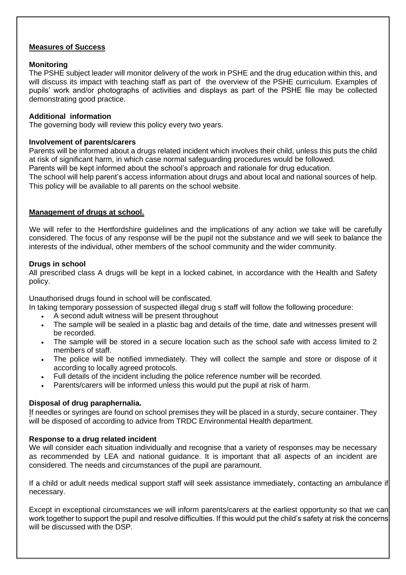#### **Measures of Success**

#### **Monitoring**

The PSHE subject leader will monitor delivery of the work in PSHE and the drug education within this, and will discuss its impact with teaching staff as part of the overview of the PSHE curriculum. Examples of pupils' work and/or photographs of activities and displays as part of the PSHE file may be collected demonstrating good practice.

#### **Additional information**

The governing body will review this policy every two years.

#### **Involvement of parents/carers**

Parents will be informed about a drugs related incident which involves their child, unless this puts the child at risk of significant harm, in which case normal safeguarding procedures would be followed. Parents will be kept informed about the school's approach and rationale for drug education. The school will help parent's access information about drugs and about local and national sources of help. This policy will be available to all parents on the school website.

#### **Management of drugs at school.**

 We will refer to the Hertfordshire guidelines and the implications of any action we take will be carefully considered. The focus of any response will be the pupil not the substance and we will seek to balance the interests of the individual, other members of the school community and the wider community.

#### **Drugs in school**

All prescribed class A drugs will be kept in a locked cabinet, in accordance with the Health and Safety policy.

Unauthorised drugs found in school will be confiscated.

In taking temporary possession of suspected illegal drug s staff will follow the following procedure:

- A second adult witness will be present throughout
- The sample will be sealed in a plastic bag and details of the time, date and witnesses present will be recorded.
- The sample will be stored in a secure location such as the school safe with access limited to 2 members of staff.
- The police will be notified immediately. They will collect the sample and store or dispose of it according to locally agreed protocols.
- Full details of the incident including the police reference number will be recorded.
- Parents/carers will be informed unless this would put the pupil at risk of harm.

#### **Disposal of drug paraphernalia.**

If needles or syringes are found on school premises they will be placed in a sturdy, secure container. They will be disposed of according to advice from TRDC Environmental Health department.

#### **Response to a drug related incident**

We will consider each situation individually and recognise that a variety of responses may be necessary as recommended by LEA and national guidance. It is important that all aspects of an incident are considered. The needs and circumstances of the pupil are paramount.

If a child or adult needs medical support staff will seek assistance immediately, contacting an ambulance if necessary.

Except in exceptional circumstances we will inform parents/carers at the earliest opportunity so that we can work together to support the pupil and resolve difficulties. If this would put the child's safety at risk the concerns will be discussed with the DSP.